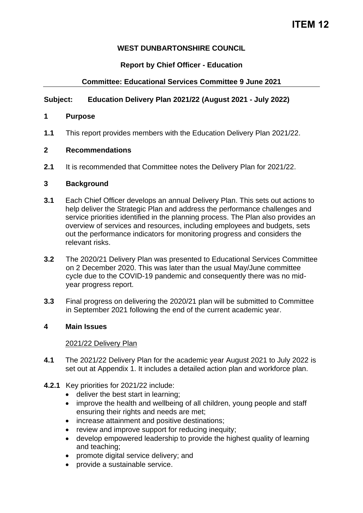# **ITEM 12**

# **WEST DUNBARTONSHIRE COUNCIL**

## **Report by Chief Officer - Education**

# **Committee: Educational Services Committee 9 June 2021**

## **Subject: Education Delivery Plan 2021/22 (August 2021 - July 2022)**

## **1 Purpose**

**1.1** This report provides members with the Education Delivery Plan 2021/22.

### **2 Recommendations**

**2.1** It is recommended that Committee notes the Delivery Plan for 2021/22.

#### **3 Background**

- **3.1** Each Chief Officer develops an annual Delivery Plan. This sets out actions to help deliver the Strategic Plan and address the performance challenges and service priorities identified in the planning process. The Plan also provides an overview of services and resources, including employees and budgets, sets out the performance indicators for monitoring progress and considers the relevant risks.
- **3.2** The 2020/21 Delivery Plan was presented to Educational Services Committee on 2 December 2020. This was later than the usual May/June committee cycle due to the COVID-19 pandemic and consequently there was no midyear progress report.
- **3.3** Final progress on delivering the 2020/21 plan will be submitted to Committee in September 2021 following the end of the current academic year.

#### **4 Main Issues**

#### 2021/22 Delivery Plan

- **4.1** The 2021/22 Delivery Plan for the academic year August 2021 to July 2022 is set out at Appendix 1. It includes a detailed action plan and workforce plan.
- **4.2.1** Key priorities for 2021/22 include:
	- deliver the best start in learning;
	- improve the health and wellbeing of all children, young people and staff ensuring their rights and needs are met;
	- increase attainment and positive destinations;
	- review and improve support for reducing inequity;
	- develop empowered leadership to provide the highest quality of learning and teaching;
	- promote digital service delivery; and
	- provide a sustainable service.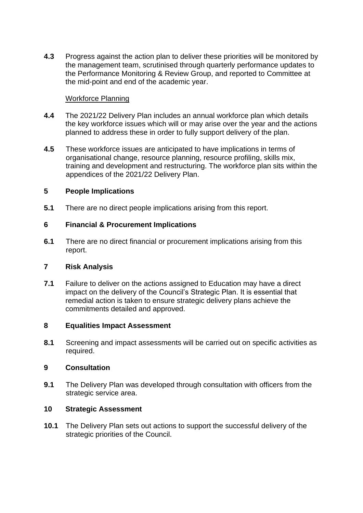**4.3** Progress against the action plan to deliver these priorities will be monitored by the management team, scrutinised through quarterly performance updates to the Performance Monitoring & Review Group, and reported to Committee at the mid-point and end of the academic year.

## Workforce Planning

- **4.4** The 2021/22 Delivery Plan includes an annual workforce plan which details the key workforce issues which will or may arise over the year and the actions planned to address these in order to fully support delivery of the plan.
- **4.5** These workforce issues are anticipated to have implications in terms of organisational change, resource planning, resource profiling, skills mix, training and development and restructuring. The workforce plan sits within the appendices of the 2021/22 Delivery Plan.

## **5 People Implications**

**5.1** There are no direct people implications arising from this report.

# **6 Financial & Procurement Implications**

**6.1** There are no direct financial or procurement implications arising from this report.

#### **7 Risk Analysis**

**7.1** Failure to deliver on the actions assigned to Education may have a direct impact on the delivery of the Council's Strategic Plan. It is essential that remedial action is taken to ensure strategic delivery plans achieve the commitments detailed and approved.

#### **8 Equalities Impact Assessment**

**8.1** Screening and impact assessments will be carried out on specific activities as required.

#### **9 Consultation**

**9.1** The Delivery Plan was developed through consultation with officers from the strategic service area.

#### **10 Strategic Assessment**

**10.1** The Delivery Plan sets out actions to support the successful delivery of the strategic priorities of the Council.